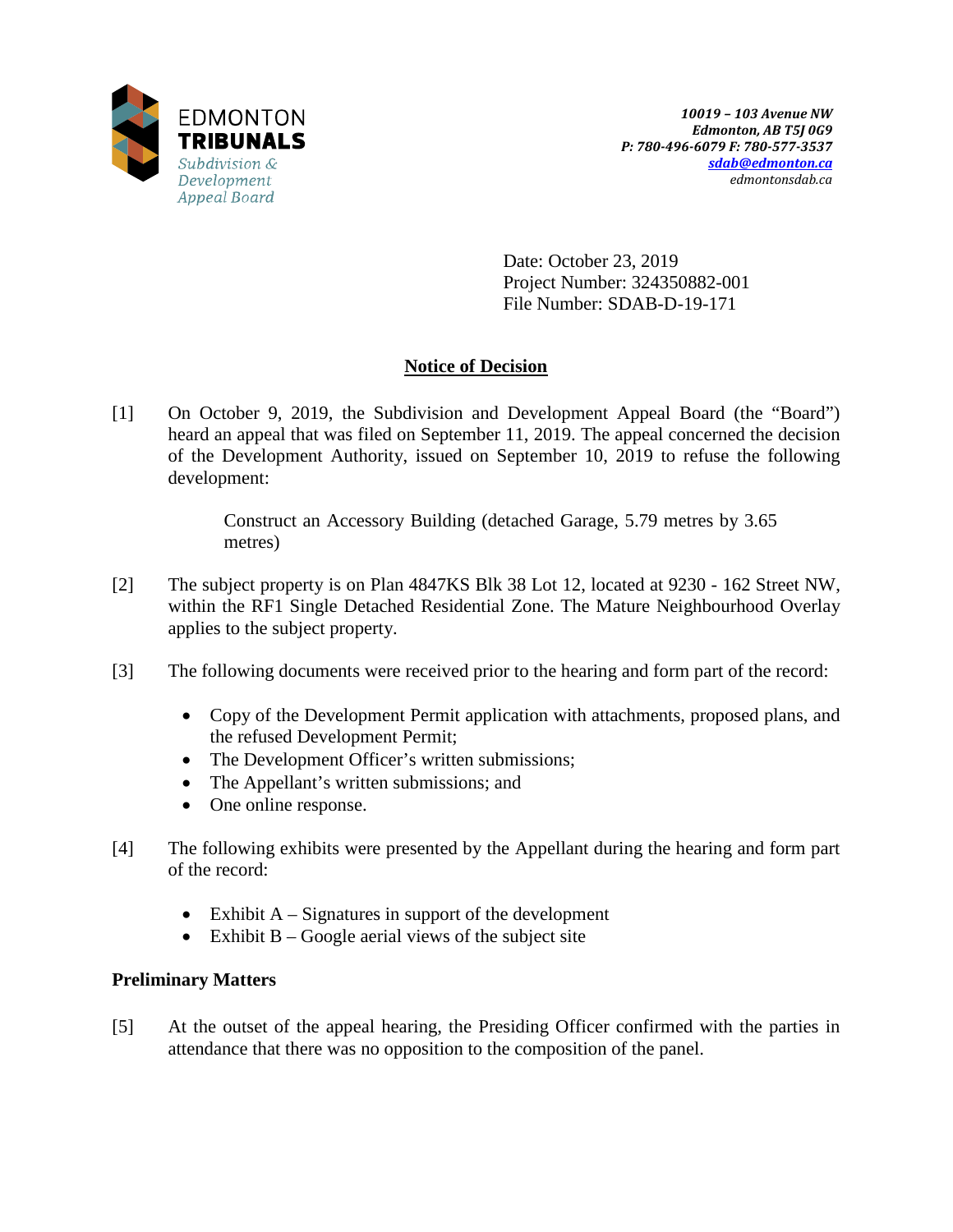

Date: October 23, 2019 Project Number: 324350882-001 File Number: SDAB-D-19-171

## **Notice of Decision**

[1] On October 9, 2019, the Subdivision and Development Appeal Board (the "Board") heard an appeal that was filed on September 11, 2019. The appeal concerned the decision of the Development Authority, issued on September 10, 2019 to refuse the following development:

> Construct an Accessory Building (detached Garage, 5.79 metres by 3.65 metres)

- [2] The subject property is on Plan 4847KS Blk 38 Lot 12, located at 9230 162 Street NW, within the RF1 Single Detached Residential Zone. The Mature Neighbourhood Overlay applies to the subject property.
- [3] The following documents were received prior to the hearing and form part of the record:
	- Copy of the Development Permit application with attachments, proposed plans, and the refused Development Permit;
	- The Development Officer's written submissions;
	- The Appellant's written submissions; and
	- One online response.
- [4] The following exhibits were presented by the Appellant during the hearing and form part of the record:
	- Exhibit  $A -$  Signatures in support of the development
	- Exhibit  $B Google$  aerial views of the subject site

## **Preliminary Matters**

[5] At the outset of the appeal hearing, the Presiding Officer confirmed with the parties in attendance that there was no opposition to the composition of the panel.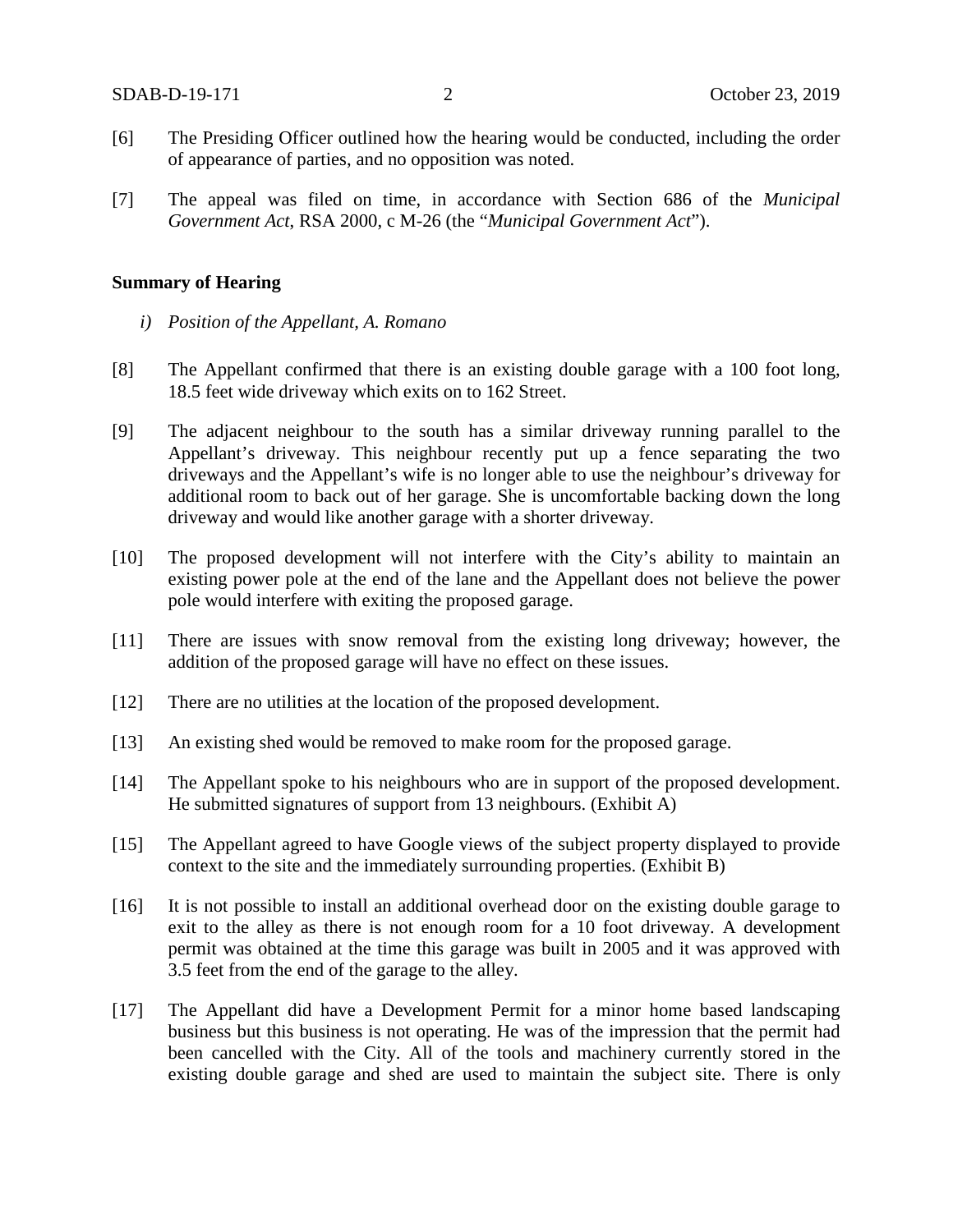- [6] The Presiding Officer outlined how the hearing would be conducted, including the order of appearance of parties, and no opposition was noted.
- [7] The appeal was filed on time, in accordance with Section 686 of the *Municipal Government Act*, RSA 2000, c M-26 (the "*Municipal Government Act*").

## **Summary of Hearing**

- *i) Position of the Appellant, A. Romano*
- [8] The Appellant confirmed that there is an existing double garage with a 100 foot long, 18.5 feet wide driveway which exits on to 162 Street.
- [9] The adjacent neighbour to the south has a similar driveway running parallel to the Appellant's driveway. This neighbour recently put up a fence separating the two driveways and the Appellant's wife is no longer able to use the neighbour's driveway for additional room to back out of her garage. She is uncomfortable backing down the long driveway and would like another garage with a shorter driveway.
- [10] The proposed development will not interfere with the City's ability to maintain an existing power pole at the end of the lane and the Appellant does not believe the power pole would interfere with exiting the proposed garage.
- [11] There are issues with snow removal from the existing long driveway; however, the addition of the proposed garage will have no effect on these issues.
- [12] There are no utilities at the location of the proposed development.
- [13] An existing shed would be removed to make room for the proposed garage.
- [14] The Appellant spoke to his neighbours who are in support of the proposed development. He submitted signatures of support from 13 neighbours. (Exhibit A)
- [15] The Appellant agreed to have Google views of the subject property displayed to provide context to the site and the immediately surrounding properties. (Exhibit B)
- [16] It is not possible to install an additional overhead door on the existing double garage to exit to the alley as there is not enough room for a 10 foot driveway. A development permit was obtained at the time this garage was built in 2005 and it was approved with 3.5 feet from the end of the garage to the alley.
- [17] The Appellant did have a Development Permit for a minor home based landscaping business but this business is not operating. He was of the impression that the permit had been cancelled with the City. All of the tools and machinery currently stored in the existing double garage and shed are used to maintain the subject site. There is only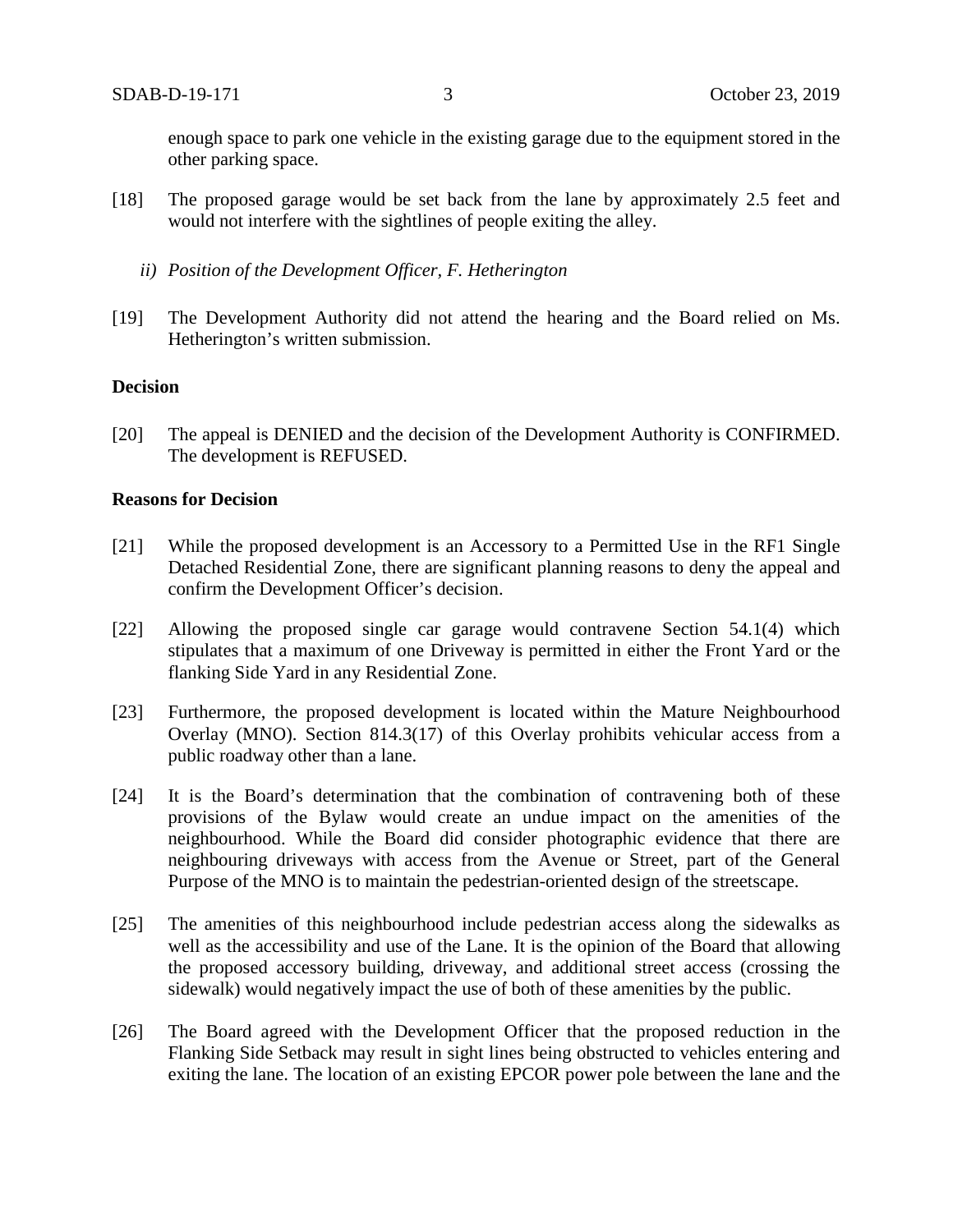enough space to park one vehicle in the existing garage due to the equipment stored in the other parking space.

- [18] The proposed garage would be set back from the lane by approximately 2.5 feet and would not interfere with the sightlines of people exiting the alley.
	- *ii) Position of the Development Officer, F. Hetherington*
- [19] The Development Authority did not attend the hearing and the Board relied on Ms. Hetherington's written submission.

## **Decision**

[20] The appeal is DENIED and the decision of the Development Authority is CONFIRMED. The development is REFUSED.

## **Reasons for Decision**

- [21] While the proposed development is an Accessory to a Permitted Use in the RF1 Single Detached Residential Zone, there are significant planning reasons to deny the appeal and confirm the Development Officer's decision.
- [22] Allowing the proposed single car garage would contravene Section 54.1(4) which stipulates that a maximum of one Driveway is permitted in either the Front Yard or the flanking Side Yard in any Residential Zone.
- [23] Furthermore, the proposed development is located within the Mature Neighbourhood Overlay (MNO). Section 814.3(17) of this Overlay prohibits vehicular access from a public roadway other than a lane.
- [24] It is the Board's determination that the combination of contravening both of these provisions of the Bylaw would create an undue impact on the amenities of the neighbourhood. While the Board did consider photographic evidence that there are neighbouring driveways with access from the Avenue or Street, part of the General Purpose of the MNO is to maintain the pedestrian-oriented design of the streetscape.
- [25] The amenities of this neighbourhood include pedestrian access along the sidewalks as well as the accessibility and use of the Lane. It is the opinion of the Board that allowing the proposed accessory building, driveway, and additional street access (crossing the sidewalk) would negatively impact the use of both of these amenities by the public.
- [26] The Board agreed with the Development Officer that the proposed reduction in the Flanking Side Setback may result in sight lines being obstructed to vehicles entering and exiting the lane. The location of an existing EPCOR power pole between the lane and the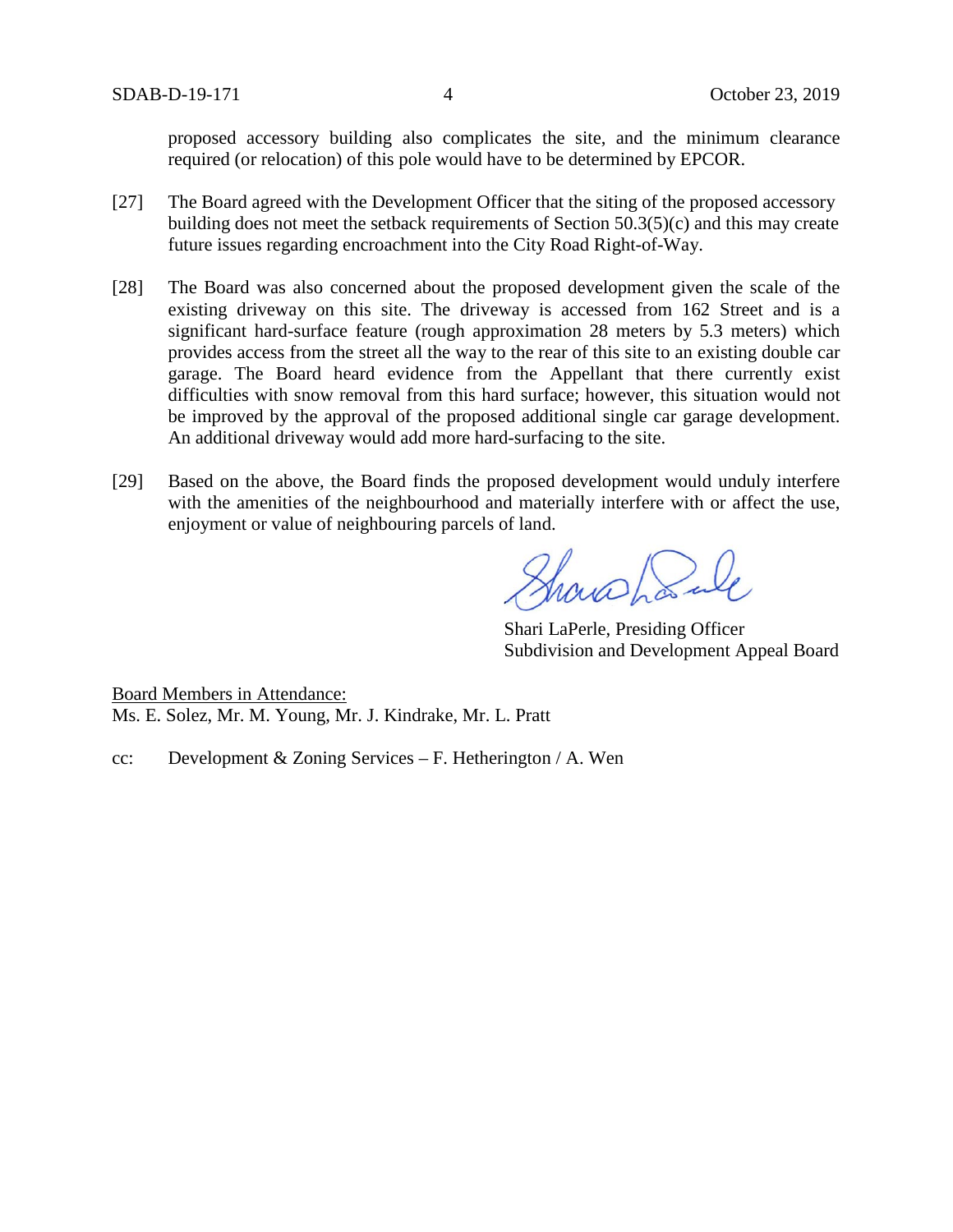proposed accessory building also complicates the site, and the minimum clearance required (or relocation) of this pole would have to be determined by EPCOR.

- [27] The Board agreed with the Development Officer that the siting of the proposed accessory building does not meet the setback requirements of Section 50.3(5)(c) and this may create future issues regarding encroachment into the City Road Right-of-Way.
- [28] The Board was also concerned about the proposed development given the scale of the existing driveway on this site. The driveway is accessed from 162 Street and is a significant hard-surface feature (rough approximation 28 meters by 5.3 meters) which provides access from the street all the way to the rear of this site to an existing double car garage. The Board heard evidence from the Appellant that there currently exist difficulties with snow removal from this hard surface; however, this situation would not be improved by the approval of the proposed additional single car garage development. An additional driveway would add more hard-surfacing to the site.
- [29] Based on the above, the Board finds the proposed development would unduly interfere with the amenities of the neighbourhood and materially interfere with or affect the use, enjoyment or value of neighbouring parcels of land.

Showshank

Shari LaPerle, Presiding Officer Subdivision and Development Appeal Board

Board Members in Attendance: Ms. E. Solez, Mr. M. Young, Mr. J. Kindrake, Mr. L. Pratt

cc: Development & Zoning Services – F. Hetherington / A. Wen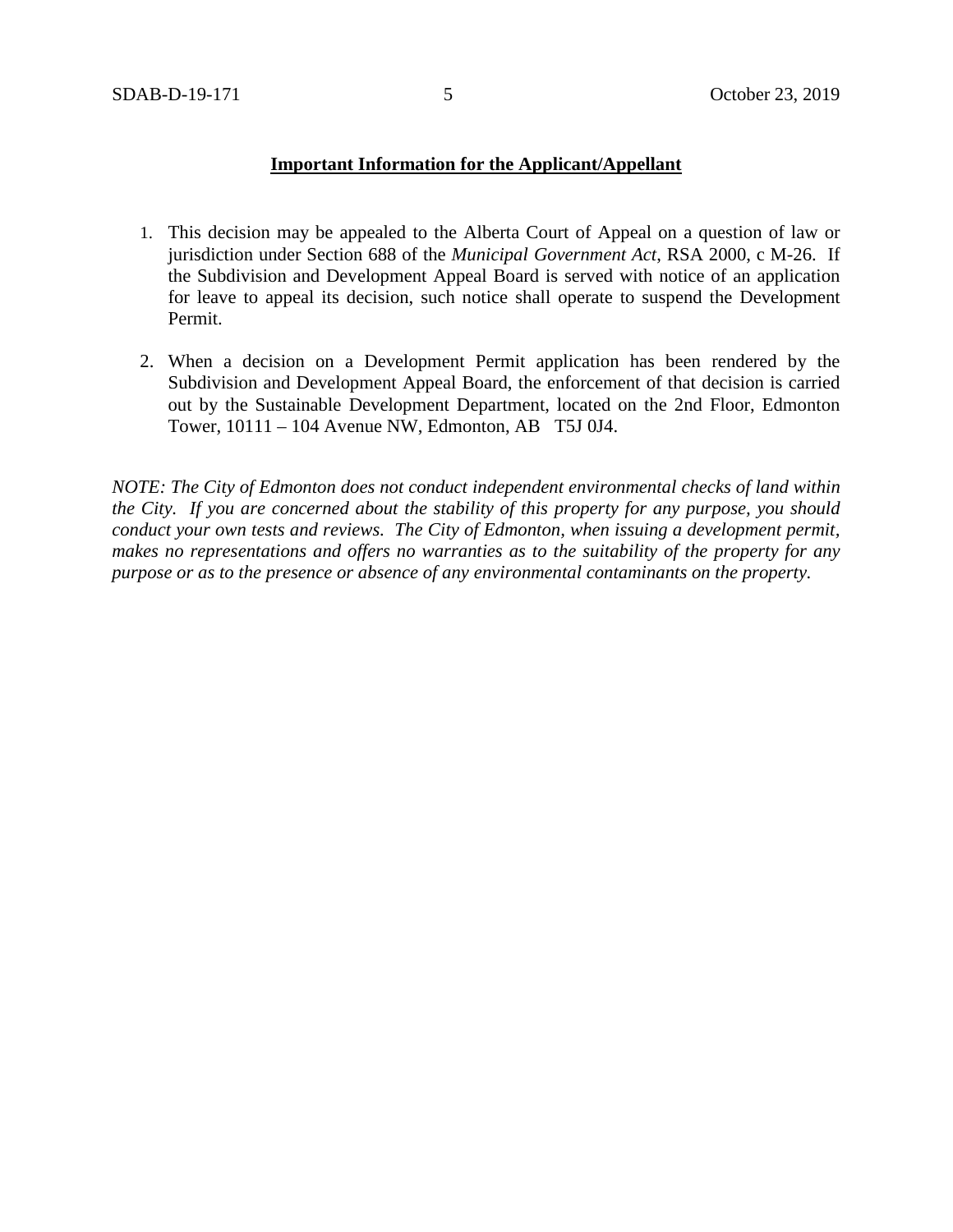## **Important Information for the Applicant/Appellant**

- 1. This decision may be appealed to the Alberta Court of Appeal on a question of law or jurisdiction under Section 688 of the *Municipal Government Act*, RSA 2000, c M-26. If the Subdivision and Development Appeal Board is served with notice of an application for leave to appeal its decision, such notice shall operate to suspend the Development Permit.
- 2. When a decision on a Development Permit application has been rendered by the Subdivision and Development Appeal Board, the enforcement of that decision is carried out by the Sustainable Development Department, located on the 2nd Floor, Edmonton Tower, 10111 – 104 Avenue NW, Edmonton, AB T5J 0J4.

*NOTE: The City of Edmonton does not conduct independent environmental checks of land within the City. If you are concerned about the stability of this property for any purpose, you should conduct your own tests and reviews. The City of Edmonton, when issuing a development permit, makes no representations and offers no warranties as to the suitability of the property for any purpose or as to the presence or absence of any environmental contaminants on the property.*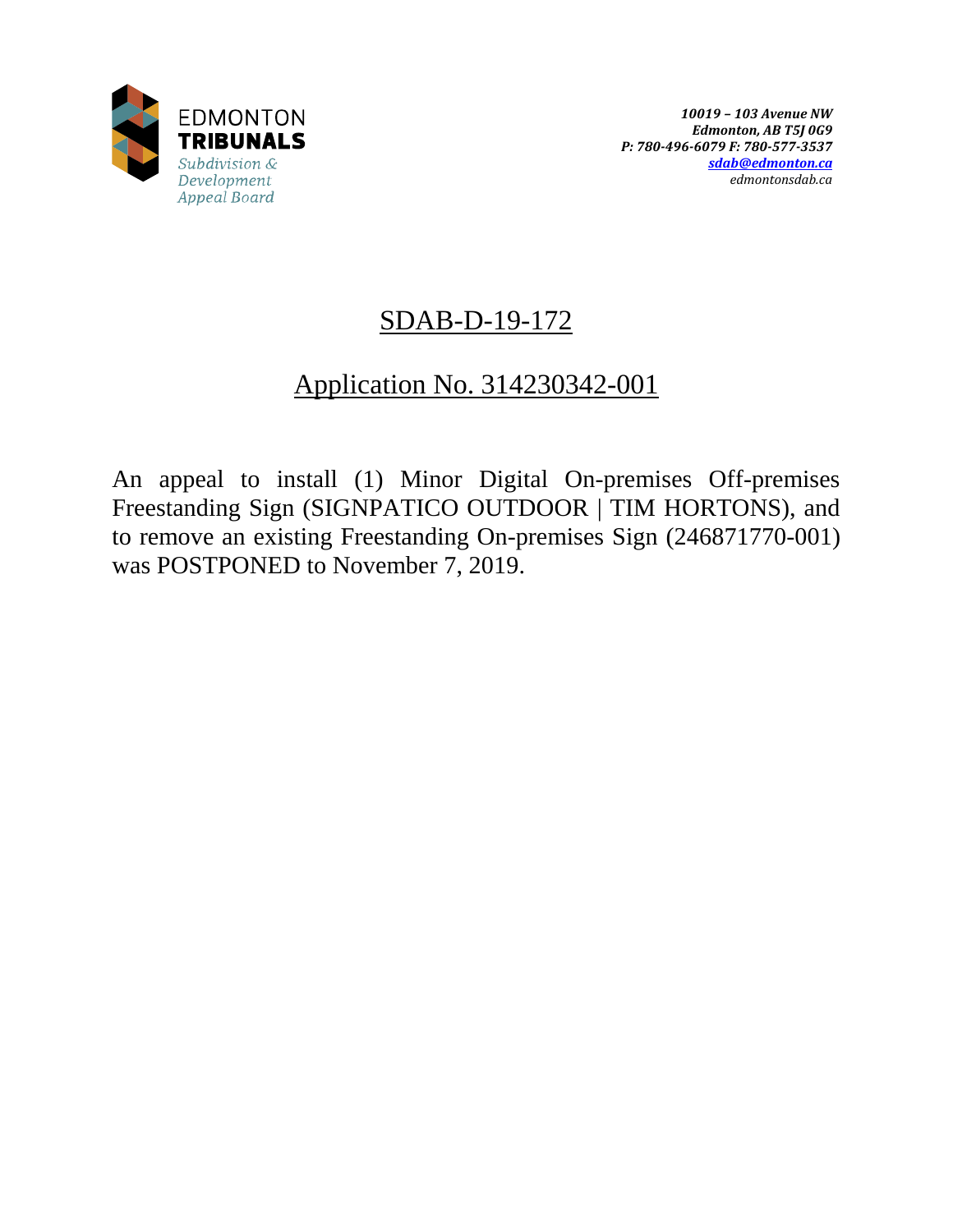

# SDAB-D-19-172

## Application No. 314230342-001

An appeal to install (1) Minor Digital On-premises Off-premises Freestanding Sign (SIGNPATICO OUTDOOR | TIM HORTONS), and to remove an existing Freestanding On-premises Sign (246871770-001) was POSTPONED to November 7, 2019.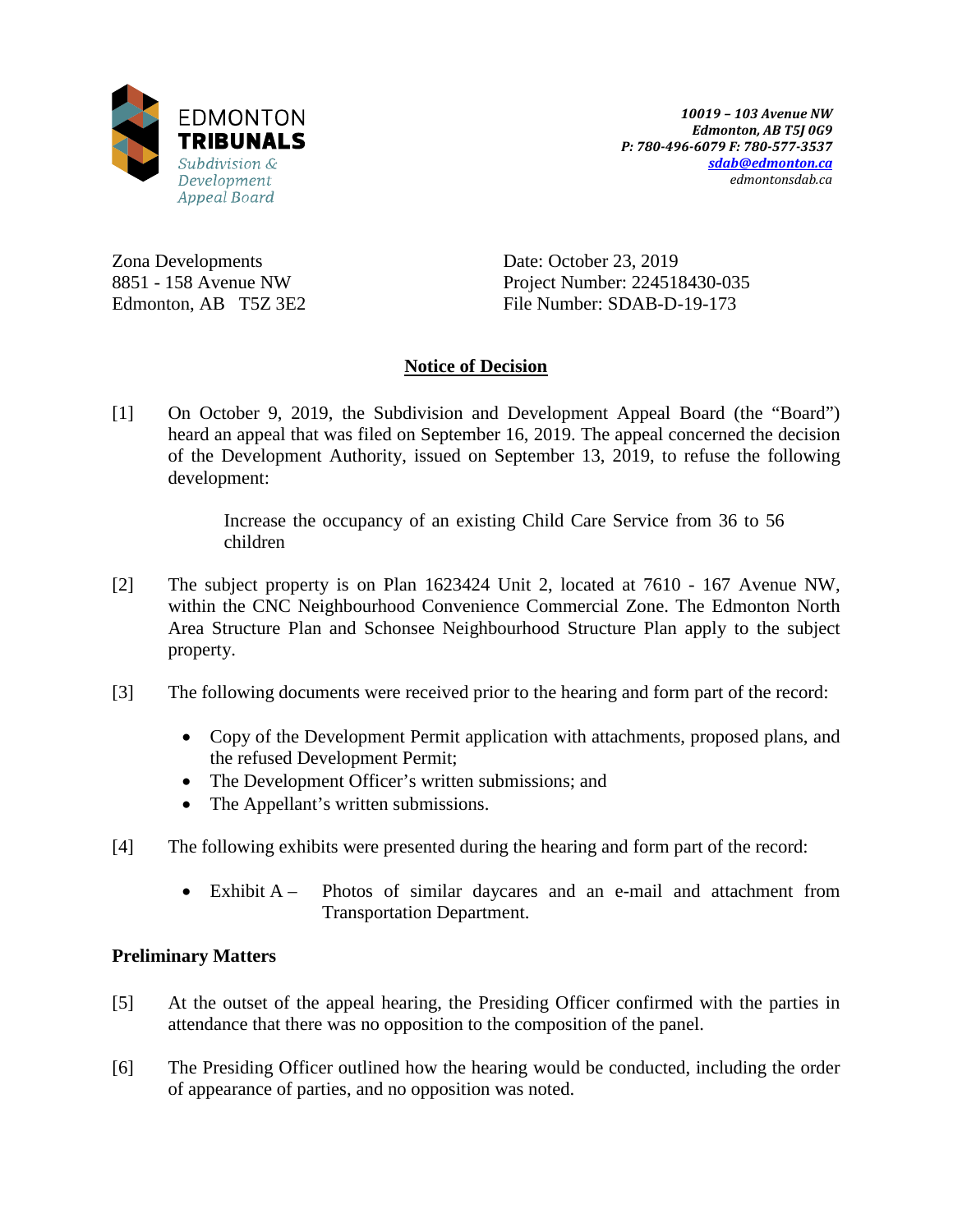

Zona Developments 8851 - 158 Avenue NW Edmonton, AB T5Z 3E2 Date: October 23, 2019 Project Number: 224518430-035 File Number: SDAB-D-19-173

## **Notice of Decision**

[1] On October 9, 2019, the Subdivision and Development Appeal Board (the "Board") heard an appeal that was filed on September 16, 2019. The appeal concerned the decision of the Development Authority, issued on September 13, 2019, to refuse the following development:

> Increase the occupancy of an existing Child Care Service from 36 to 56 children

- [2] The subject property is on Plan 1623424 Unit 2, located at 7610 167 Avenue NW, within the CNC Neighbourhood Convenience Commercial Zone. The Edmonton North Area Structure Plan and Schonsee Neighbourhood Structure Plan apply to the subject property.
- [3] The following documents were received prior to the hearing and form part of the record:
	- Copy of the Development Permit application with attachments, proposed plans, and the refused Development Permit;
	- The Development Officer's written submissions; and
	- The Appellant's written submissions.
- [4] The following exhibits were presented during the hearing and form part of the record:
	- Exhibit A Photos of similar daycares and an e-mail and attachment from Transportation Department.

## **Preliminary Matters**

- [5] At the outset of the appeal hearing, the Presiding Officer confirmed with the parties in attendance that there was no opposition to the composition of the panel.
- [6] The Presiding Officer outlined how the hearing would be conducted, including the order of appearance of parties, and no opposition was noted.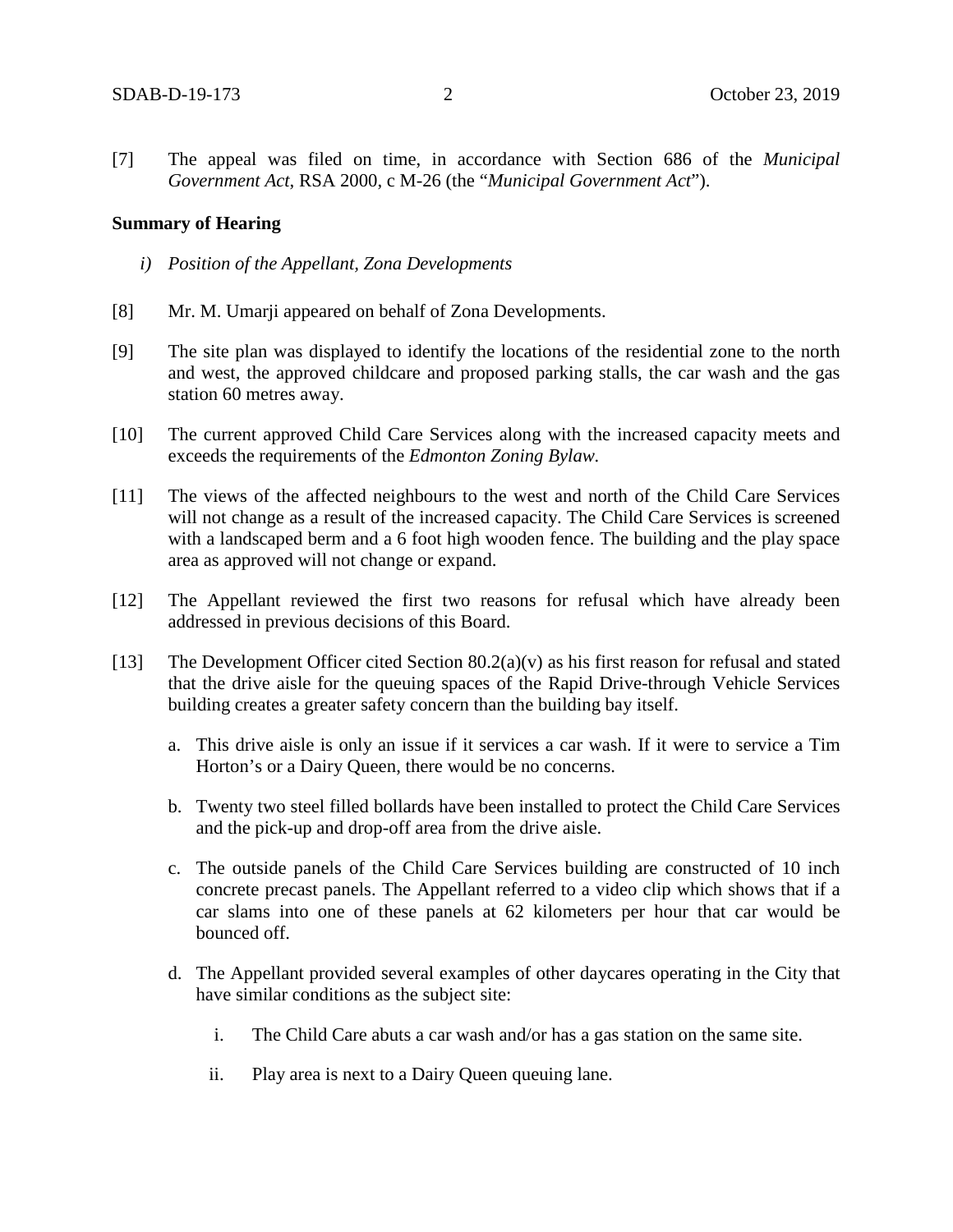[7] The appeal was filed on time, in accordance with Section 686 of the *Municipal Government Act*, RSA 2000, c M-26 (the "*Municipal Government Act*").

#### **Summary of Hearing**

- *i) Position of the Appellant, Zona Developments*
- [8] Mr. M. Umarji appeared on behalf of Zona Developments.
- [9] The site plan was displayed to identify the locations of the residential zone to the north and west, the approved childcare and proposed parking stalls, the car wash and the gas station 60 metres away.
- [10] The current approved Child Care Services along with the increased capacity meets and exceeds the requirements of the *Edmonton Zoning Bylaw.*
- [11] The views of the affected neighbours to the west and north of the Child Care Services will not change as a result of the increased capacity. The Child Care Services is screened with a landscaped berm and a 6 foot high wooden fence. The building and the play space area as approved will not change or expand.
- [12] The Appellant reviewed the first two reasons for refusal which have already been addressed in previous decisions of this Board.
- [13] The Development Officer cited Section 80.2(a)(v) as his first reason for refusal and stated that the drive aisle for the queuing spaces of the Rapid Drive-through Vehicle Services building creates a greater safety concern than the building bay itself.
	- a. This drive aisle is only an issue if it services a car wash. If it were to service a Tim Horton's or a Dairy Queen, there would be no concerns.
	- b. Twenty two steel filled bollards have been installed to protect the Child Care Services and the pick-up and drop-off area from the drive aisle.
	- c. The outside panels of the Child Care Services building are constructed of 10 inch concrete precast panels. The Appellant referred to a video clip which shows that if a car slams into one of these panels at 62 kilometers per hour that car would be bounced off.
	- d. The Appellant provided several examples of other daycares operating in the City that have similar conditions as the subject site:
		- i. The Child Care abuts a car wash and/or has a gas station on the same site.
		- ii. Play area is next to a Dairy Queen queuing lane.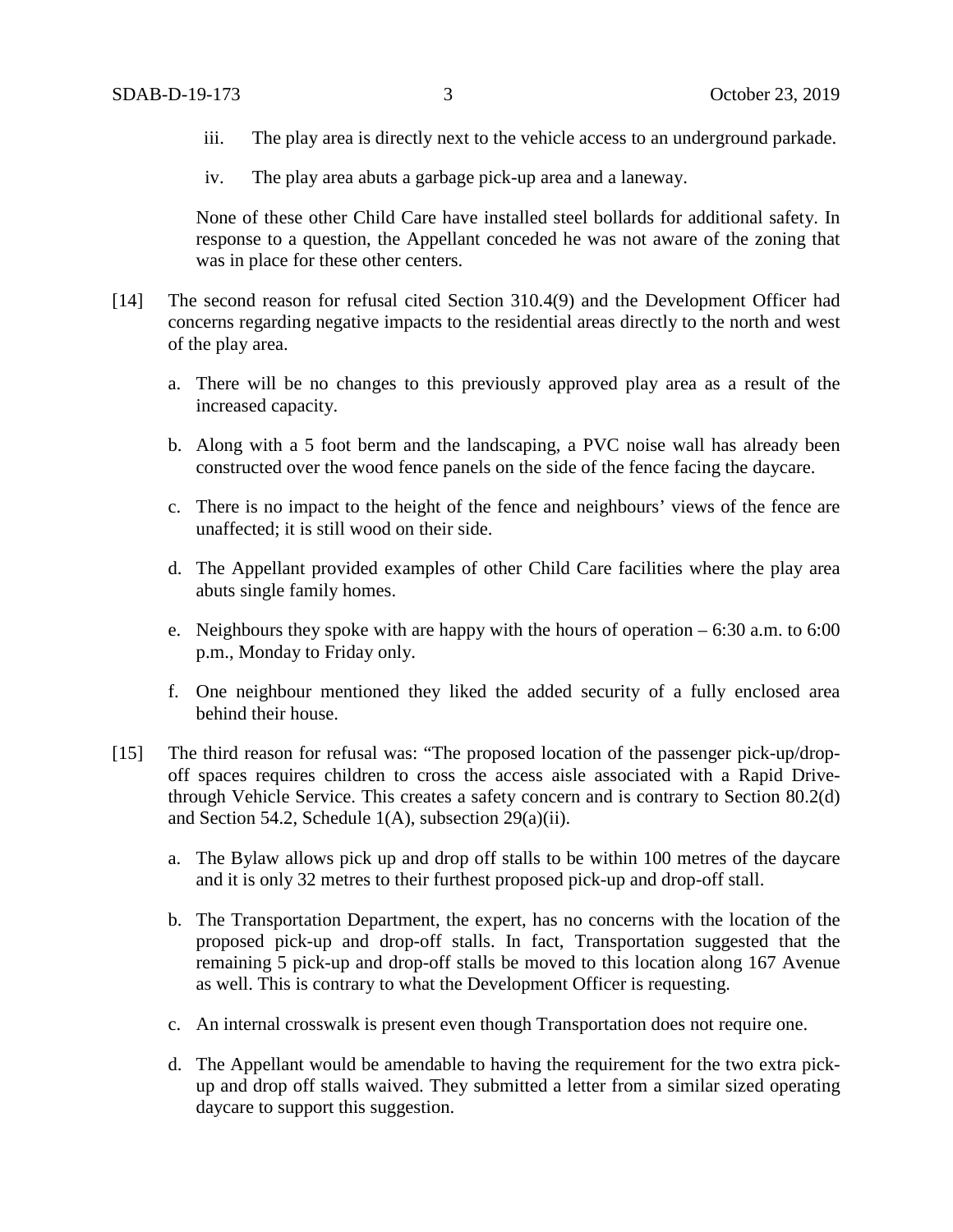- iii. The play area is directly next to the vehicle access to an underground parkade.
- iv. The play area abuts a garbage pick-up area and a laneway.

None of these other Child Care have installed steel bollards for additional safety. In response to a question, the Appellant conceded he was not aware of the zoning that was in place for these other centers.

- [14] The second reason for refusal cited Section 310.4(9) and the Development Officer had concerns regarding negative impacts to the residential areas directly to the north and west of the play area.
	- a. There will be no changes to this previously approved play area as a result of the increased capacity.
	- b. Along with a 5 foot berm and the landscaping, a PVC noise wall has already been constructed over the wood fence panels on the side of the fence facing the daycare.
	- c. There is no impact to the height of the fence and neighbours' views of the fence are unaffected; it is still wood on their side.
	- d. The Appellant provided examples of other Child Care facilities where the play area abuts single family homes.
	- e. Neighbours they spoke with are happy with the hours of operation 6:30 a.m. to 6:00 p.m., Monday to Friday only.
	- f. One neighbour mentioned they liked the added security of a fully enclosed area behind their house.
- [15] The third reason for refusal was: "The proposed location of the passenger pick-up/dropoff spaces requires children to cross the access aisle associated with a Rapid Drivethrough Vehicle Service. This creates a safety concern and is contrary to Section 80.2(d) and Section 54.2, Schedule 1(A), subsection 29(a)(ii).
	- a. The Bylaw allows pick up and drop off stalls to be within 100 metres of the daycare and it is only 32 metres to their furthest proposed pick-up and drop-off stall.
	- b. The Transportation Department, the expert, has no concerns with the location of the proposed pick-up and drop-off stalls. In fact, Transportation suggested that the remaining 5 pick-up and drop-off stalls be moved to this location along 167 Avenue as well. This is contrary to what the Development Officer is requesting.
	- c. An internal crosswalk is present even though Transportation does not require one.
	- d. The Appellant would be amendable to having the requirement for the two extra pickup and drop off stalls waived. They submitted a letter from a similar sized operating daycare to support this suggestion.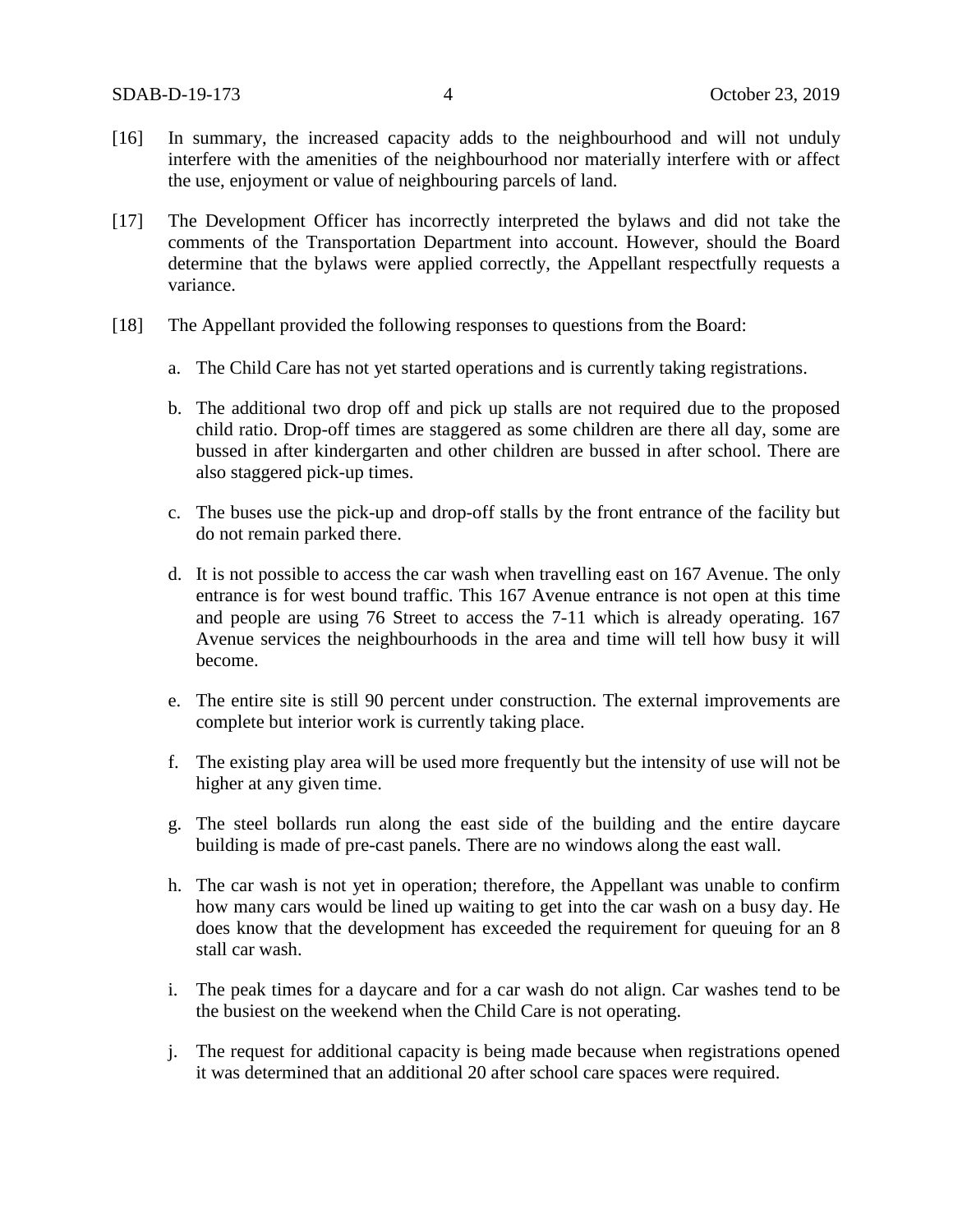- [16] In summary, the increased capacity adds to the neighbourhood and will not unduly interfere with the amenities of the neighbourhood nor materially interfere with or affect the use, enjoyment or value of neighbouring parcels of land.
- [17] The Development Officer has incorrectly interpreted the bylaws and did not take the comments of the Transportation Department into account. However, should the Board determine that the bylaws were applied correctly, the Appellant respectfully requests a variance.
- [18] The Appellant provided the following responses to questions from the Board:
	- a. The Child Care has not yet started operations and is currently taking registrations.
	- b. The additional two drop off and pick up stalls are not required due to the proposed child ratio. Drop-off times are staggered as some children are there all day, some are bussed in after kindergarten and other children are bussed in after school. There are also staggered pick-up times.
	- c. The buses use the pick-up and drop-off stalls by the front entrance of the facility but do not remain parked there.
	- d. It is not possible to access the car wash when travelling east on 167 Avenue. The only entrance is for west bound traffic. This 167 Avenue entrance is not open at this time and people are using 76 Street to access the 7-11 which is already operating. 167 Avenue services the neighbourhoods in the area and time will tell how busy it will become.
	- e. The entire site is still 90 percent under construction. The external improvements are complete but interior work is currently taking place.
	- f. The existing play area will be used more frequently but the intensity of use will not be higher at any given time.
	- g. The steel bollards run along the east side of the building and the entire daycare building is made of pre-cast panels. There are no windows along the east wall.
	- h. The car wash is not yet in operation; therefore, the Appellant was unable to confirm how many cars would be lined up waiting to get into the car wash on a busy day. He does know that the development has exceeded the requirement for queuing for an 8 stall car wash.
	- i. The peak times for a daycare and for a car wash do not align. Car washes tend to be the busiest on the weekend when the Child Care is not operating.
	- j. The request for additional capacity is being made because when registrations opened it was determined that an additional 20 after school care spaces were required.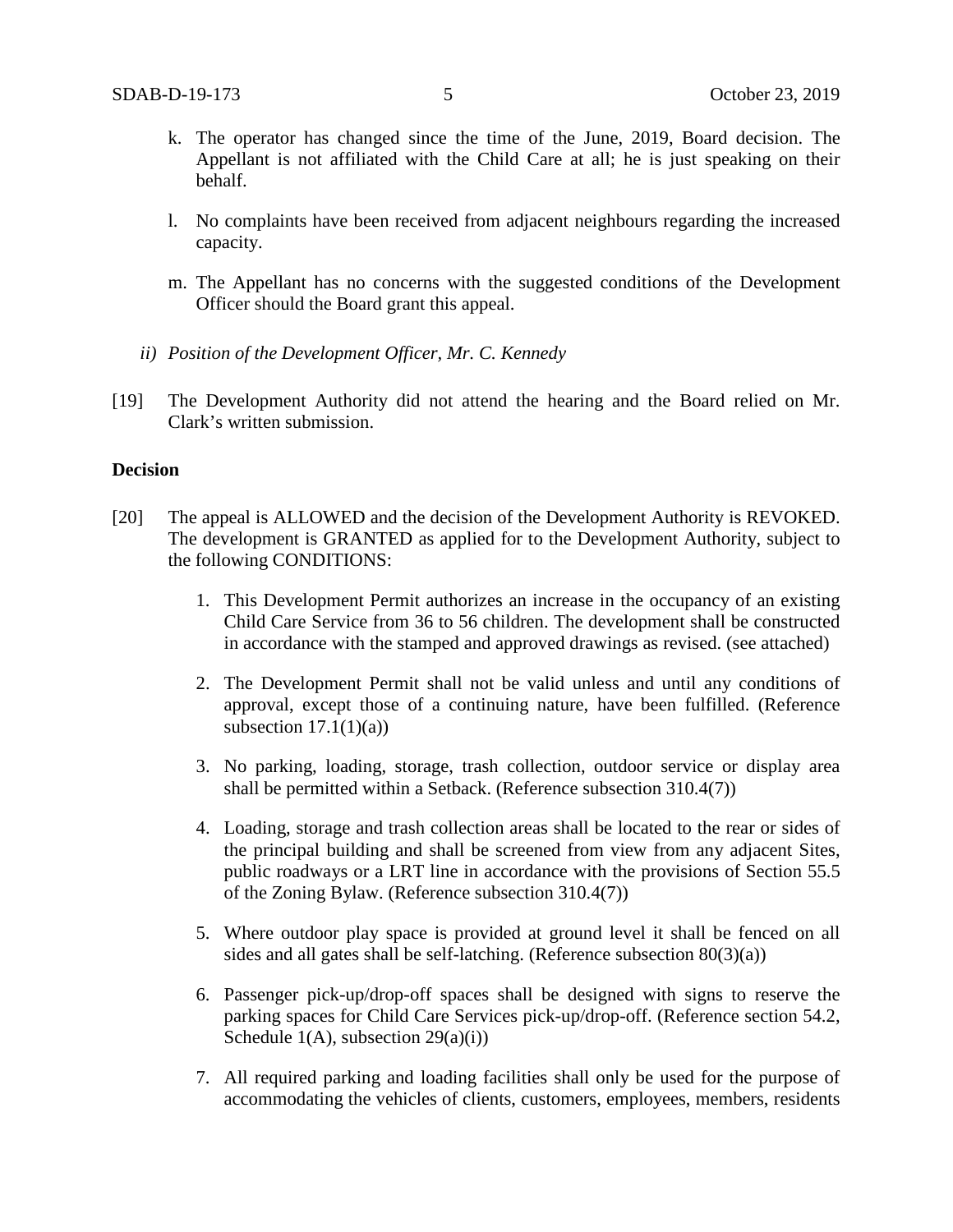- k. The operator has changed since the time of the June, 2019, Board decision. The Appellant is not affiliated with the Child Care at all; he is just speaking on their behalf.
- l. No complaints have been received from adjacent neighbours regarding the increased capacity.
- m. The Appellant has no concerns with the suggested conditions of the Development Officer should the Board grant this appeal.
- *ii) Position of the Development Officer, Mr. C. Kennedy*
- [19] The Development Authority did not attend the hearing and the Board relied on Mr. Clark's written submission.

## **Decision**

- [20] The appeal is ALLOWED and the decision of the Development Authority is REVOKED. The development is GRANTED as applied for to the Development Authority, subject to the following CONDITIONS:
	- 1. This Development Permit authorizes an increase in the occupancy of an existing Child Care Service from 36 to 56 children. The development shall be constructed in accordance with the stamped and approved drawings as revised. (see attached)
	- 2. The Development Permit shall not be valid unless and until any conditions of approval, except those of a continuing nature, have been fulfilled. (Reference subsection  $17.1(1)(a)$ )
	- 3. No parking, loading, storage, trash collection, outdoor service or display area shall be permitted within a Setback. (Reference subsection 310.4(7))
	- 4. Loading, storage and trash collection areas shall be located to the rear or sides of the principal building and shall be screened from view from any adjacent Sites, public roadways or a LRT line in accordance with the provisions of Section 55.5 of the Zoning Bylaw. (Reference subsection 310.4(7))
	- 5. Where outdoor play space is provided at ground level it shall be fenced on all sides and all gates shall be self-latching. (Reference subsection  $80(3)(a)$ )
	- 6. Passenger pick-up/drop-off spaces shall be designed with signs to reserve the parking spaces for Child Care Services pick-up/drop-off. (Reference section 54.2, Schedule  $1(A)$ , subsection  $29(a)(i)$ )
	- 7. All required parking and loading facilities shall only be used for the purpose of accommodating the vehicles of clients, customers, employees, members, residents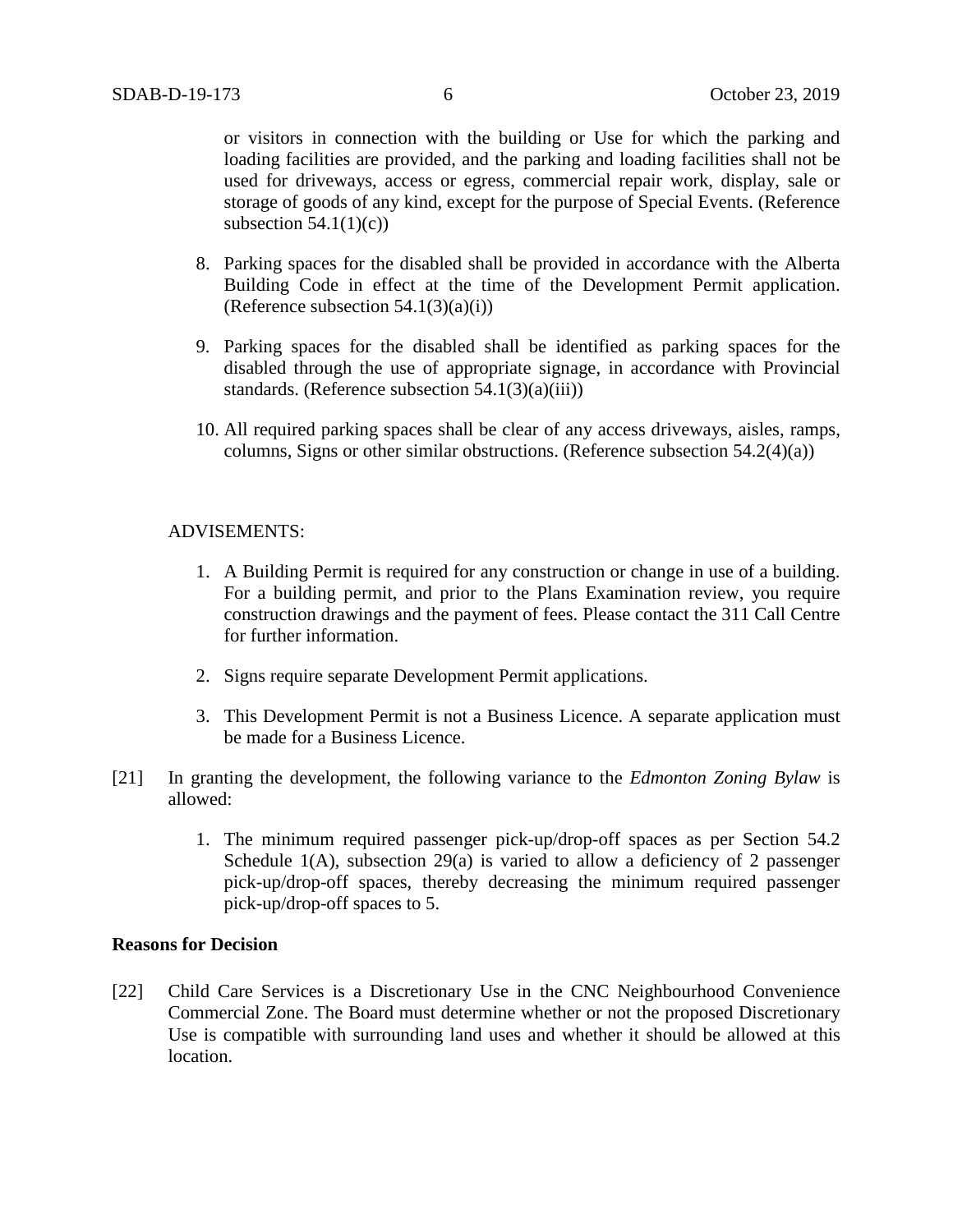or visitors in connection with the building or Use for which the parking and loading facilities are provided, and the parking and loading facilities shall not be used for driveways, access or egress, commercial repair work, display, sale or storage of goods of any kind, except for the purpose of Special Events. (Reference subsection  $54.1(1)(c)$ 

- 8. Parking spaces for the disabled shall be provided in accordance with the Alberta Building Code in effect at the time of the Development Permit application. (Reference subsection  $54.1(3)(a)(i)$ )
- 9. Parking spaces for the disabled shall be identified as parking spaces for the disabled through the use of appropriate signage, in accordance with Provincial standards. (Reference subsection  $54.1(3)(a)(iii)$ )
- 10. All required parking spaces shall be clear of any access driveways, aisles, ramps, columns, Signs or other similar obstructions. (Reference subsection 54.2(4)(a))

## ADVISEMENTS:

- 1. A Building Permit is required for any construction or change in use of a building. For a building permit, and prior to the Plans Examination review, you require construction drawings and the payment of fees. Please contact the 311 Call Centre for further information.
- 2. Signs require separate Development Permit applications.
- 3. This Development Permit is not a Business Licence. A separate application must be made for a Business Licence.
- [21] In granting the development, the following variance to the *Edmonton Zoning Bylaw* is allowed:
	- 1. The minimum required passenger pick-up/drop-off spaces as per Section 54.2 Schedule 1(A), subsection 29(a) is varied to allow a deficiency of 2 passenger pick-up/drop-off spaces, thereby decreasing the minimum required passenger pick-up/drop-off spaces to 5.

## **Reasons for Decision**

[22] Child Care Services is a Discretionary Use in the CNC Neighbourhood Convenience Commercial Zone. The Board must determine whether or not the proposed Discretionary Use is compatible with surrounding land uses and whether it should be allowed at this location.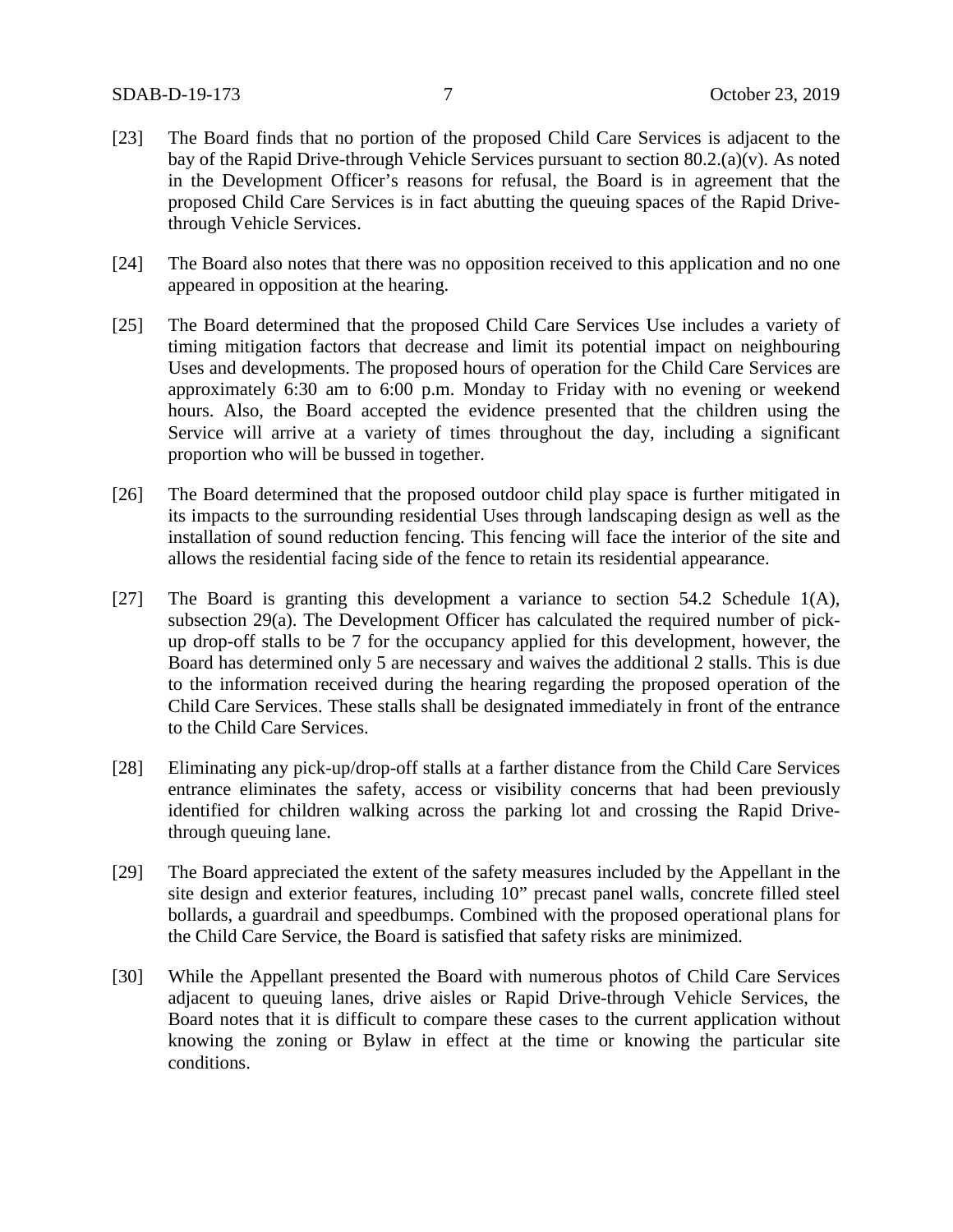- [23] The Board finds that no portion of the proposed Child Care Services is adjacent to the bay of the Rapid Drive-through Vehicle Services pursuant to section 80.2.(a)(v). As noted in the Development Officer's reasons for refusal, the Board is in agreement that the proposed Child Care Services is in fact abutting the queuing spaces of the Rapid Drivethrough Vehicle Services.
- [24] The Board also notes that there was no opposition received to this application and no one appeared in opposition at the hearing.
- [25] The Board determined that the proposed Child Care Services Use includes a variety of timing mitigation factors that decrease and limit its potential impact on neighbouring Uses and developments. The proposed hours of operation for the Child Care Services are approximately 6:30 am to 6:00 p.m. Monday to Friday with no evening or weekend hours. Also, the Board accepted the evidence presented that the children using the Service will arrive at a variety of times throughout the day, including a significant proportion who will be bussed in together.
- [26] The Board determined that the proposed outdoor child play space is further mitigated in its impacts to the surrounding residential Uses through landscaping design as well as the installation of sound reduction fencing. This fencing will face the interior of the site and allows the residential facing side of the fence to retain its residential appearance.
- [27] The Board is granting this development a variance to section 54.2 Schedule 1(A), subsection 29(a). The Development Officer has calculated the required number of pickup drop-off stalls to be 7 for the occupancy applied for this development, however, the Board has determined only 5 are necessary and waives the additional 2 stalls. This is due to the information received during the hearing regarding the proposed operation of the Child Care Services. These stalls shall be designated immediately in front of the entrance to the Child Care Services.
- [28] Eliminating any pick-up/drop-off stalls at a farther distance from the Child Care Services entrance eliminates the safety, access or visibility concerns that had been previously identified for children walking across the parking lot and crossing the Rapid Drivethrough queuing lane.
- [29] The Board appreciated the extent of the safety measures included by the Appellant in the site design and exterior features, including 10" precast panel walls, concrete filled steel bollards, a guardrail and speedbumps. Combined with the proposed operational plans for the Child Care Service, the Board is satisfied that safety risks are minimized.
- [30] While the Appellant presented the Board with numerous photos of Child Care Services adjacent to queuing lanes, drive aisles or Rapid Drive-through Vehicle Services, the Board notes that it is difficult to compare these cases to the current application without knowing the zoning or Bylaw in effect at the time or knowing the particular site conditions.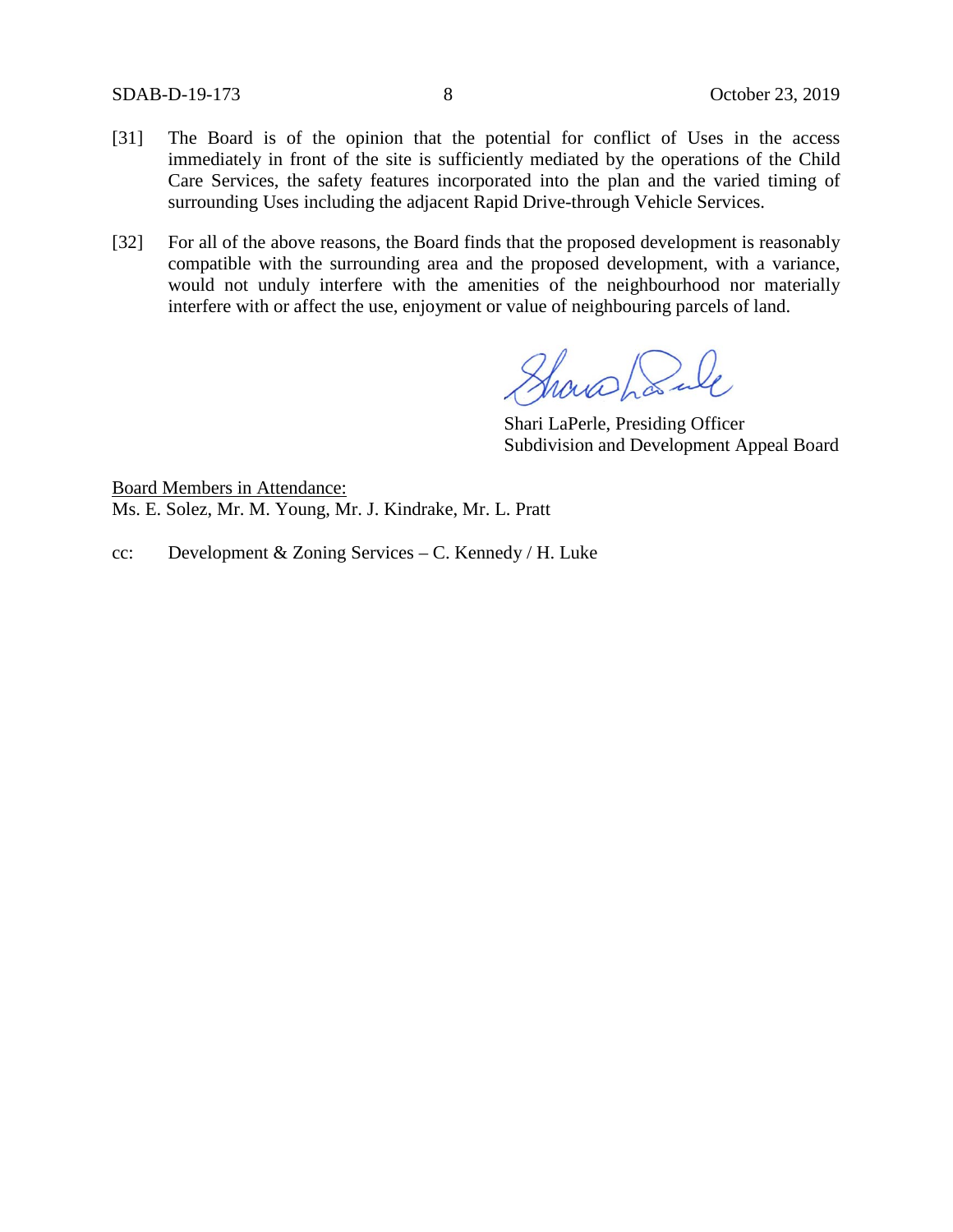SDAB-D-19-173 8 October 23, 2019

- [31] The Board is of the opinion that the potential for conflict of Uses in the access immediately in front of the site is sufficiently mediated by the operations of the Child Care Services, the safety features incorporated into the plan and the varied timing of surrounding Uses including the adjacent Rapid Drive-through Vehicle Services.
- [32] For all of the above reasons, the Board finds that the proposed development is reasonably compatible with the surrounding area and the proposed development, with a variance, would not unduly interfere with the amenities of the neighbourhood nor materially interfere with or affect the use, enjoyment or value of neighbouring parcels of land.

Showshank

Shari LaPerle, Presiding Officer Subdivision and Development Appeal Board

Board Members in Attendance: Ms. E. Solez, Mr. M. Young, Mr. J. Kindrake, Mr. L. Pratt

cc: Development & Zoning Services – C. Kennedy / H. Luke